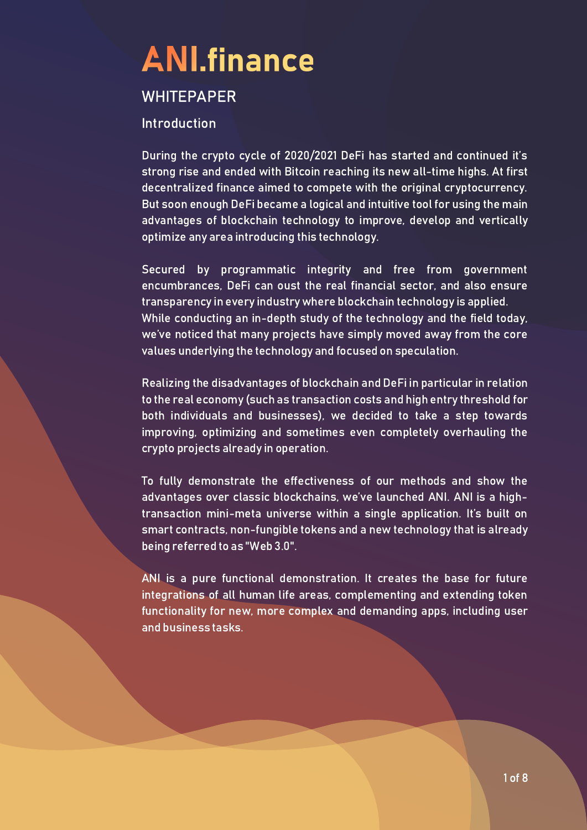#### **WHITEPAPER**

#### Introduction

During the crypto cycle of 2020/2021 DeFi has started and continued it's strong rise and ended with Bitcoin reaching its new all-time highs. At first decentralized finance aimed to compete with the original cryptocurrency. But soon enough DeFi became a logical and intuitive tool for using the main advantages of blockchain technology to improve, develop and vertically optimize any area introducing this technology.

Secured by programmatic integrity and free from government encumbrances, DeFi can oust the real financial sector, and also ensure transparency in every industry where blockchain technology is applied. While conducting an in-depth study of the technology and the field today, we've noticed that many projects have simply moved away from the core values underlying the technology and focused on speculation.

Realizing the disadvantages of blockchain and DeFi in particular in relation to the real economy (such as transaction costs and high entry threshold for both individuals and businesses), we decided to take a step towards improving, optimizing and sometimes even completely overhauling the crypto projects already in operation.

To fully demonstrate the effectiveness of our methods and show the advantages over classic blockchains, we've launched ANI. ANI is a hightransaction mini-meta universe within a single application. It's built on smart contracts, non-fungible tokens and a new technology that is already being referred to as "Web 3.0".

ANI is a pure functional demonstration. It creates the base for future integrations of all human life areas, complementing and extending token functionality for new, more complex and demanding apps, including user and business tasks.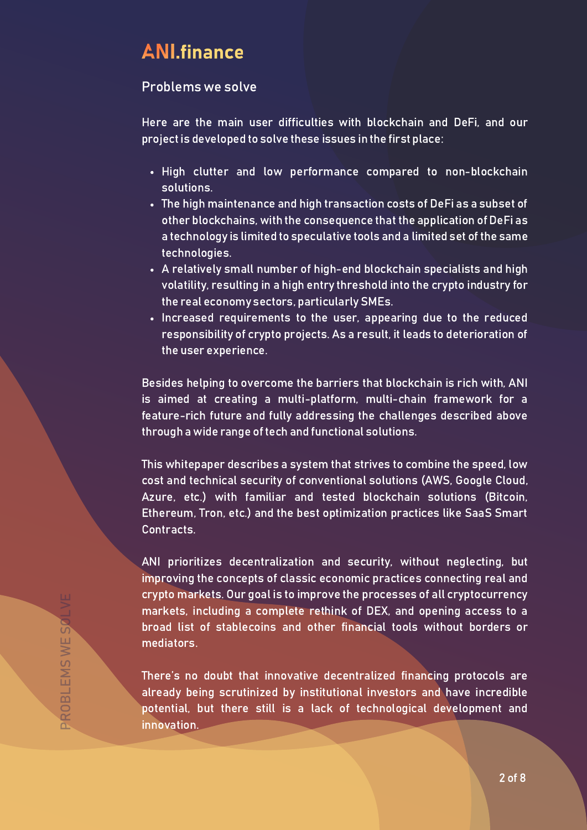#### Problems we solve

Here are the main user difficulties with blockchain and DeFi, and our project is developed to solve these issues in the first place:

- High clutter and low performance compared to non-blockchain solutions.
- The high maintenance and high transaction costs of DeFi as a subset of other blockchains, with the consequence that the application of DeFi as a technology is limited to speculative tools and a limited set of the same technologies.
- A relatively small number of high-end blockchain specialists and high volatility, resulting in a high entry threshold into the crypto industry for the real economy sectors, particularly SMEs.
- Increased requirements to the user, appearing due to the reduced responsibility of crypto projects. As a result, it leads to deterioration of the user experience.

Besides helping to overcome the barriers that blockchain is rich with, ANI is aimed at creating a multi-platform, multi-chain framework for a feature-rich future and fully addressing the challenges described above through a wide range of tech and functional solutions.

This whitepaper describes a system that strives to combine the speed, low cost and technical security of conventional solutions (AWS, Google Cloud, Azure, etc.) with familiar and tested blockchain solutions (Bitcoin, Ethereum, Tron, etc.) and the best optimization practices like SaaS Smart Contracts.

ANI prioritizes decentralization and security, without neglecting, but improving the concepts of classic economic practices connecting real and crypto markets. Our goal is to improve the processes of all cryptocurrency markets, including a complete rethink of DEX, and opening access to a broad list of stablecoins and other financial tools without borders or mediators.

There's no doubt that innovative decentralized financing protocols are already being scrutinized by institutional investors and have incredible potential, but there still is a lack of technological development and innovation.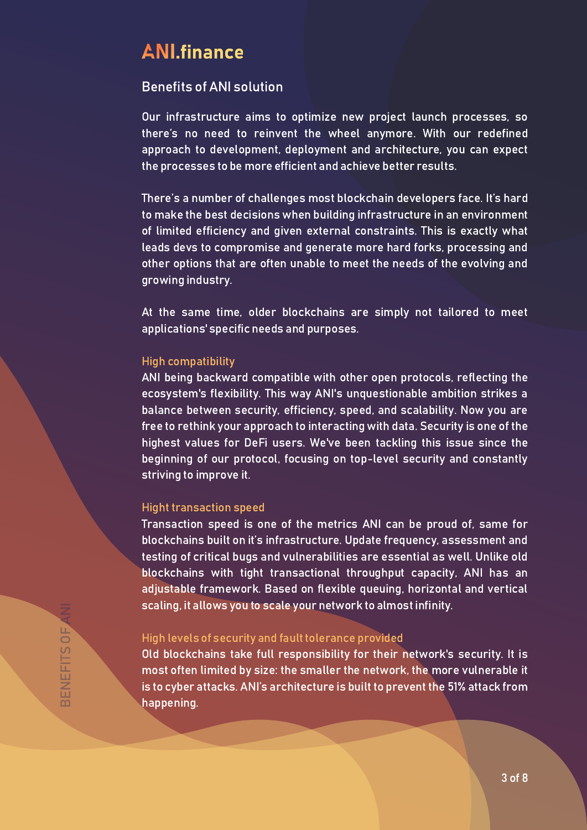#### Benefits of ANI solution

Our infrastructure aims to optimize new project launch processes, so there's no need to reinvent the wheel anymore. With our redefined approach to development, deployment and architecture, you can expect the processes to be more efficient and achieve better results.

There's a number of challenges most blockchain developers face. It's hard to make the best decisions when building infrastructure in an environment of limited efficiency and given external constraints. This is exactly what leads devs to compromise and generate more hard forks, processing and other options that are often unable to meet the needs of the evolving and growing industry.

At the same time, older blockchains are simply not tailored to meet applications' specific needs and purposes.

#### High compatibility

ANI being backward compatible with other open protocols, reflecting the ecosystem's flexibility. This way ANI's unquestionable ambition strikes a balance between security, efficiency, speed, and scalability. Now you are free to rethink your approach to interacting with data. Security is one of the highest values for DeFi users. We've been tackling this issue since the beginning of our protocol, focusing on top-level security and constantly striving to improve it.

#### Hight transaction speed

Transaction speed is one of the metrics ANI can be proud of, same for blockchains built on it's infrastructure. Update frequency, assessment and testing of critical bugs and vulnerabilities are essential as well. Unlike old blockchains with tight transactional throughput capacity, ANI has an adjustable framework. Based on flexible queuing, horizontal and vertical scaling, it allows you to scale your network to almost infinity.

#### High levels of security and fault tolerance provided

Old blockchains take full responsibility for their network's security. It is most often limited by size: the smaller the network, the more vulnerable it is to cyber attacks. ANI's architecture is built to prevent the 51% attack from happening.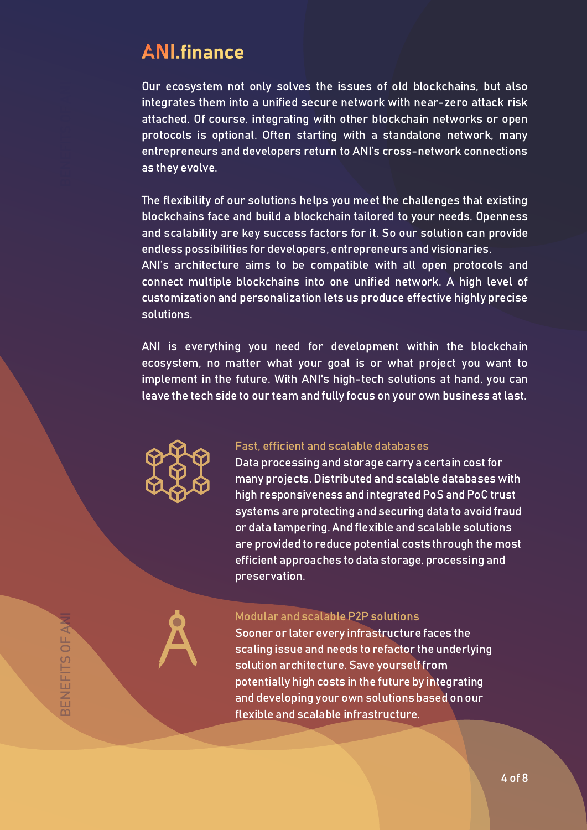Our ecosystem not only solves the issues of old blockchains, but also integrates them into a unified secure network with near-zero attack risk attached. Of course, integrating with other blockchain networks or open protocols is optional. Often starting with a standalone network, many entrepreneurs and developers return to ANI's cross-network connections as they evolve.

The flexibility of our solutions helps you meet the challenges that existing blockchains face and build a blockchain tailored to your needs. Openness and scalability are key success factors for it. So our solution can provide endless possibilities for developers, entrepreneurs and visionaries. ANI's architecture aims to be compatible with all open protocols and

connect multiple blockchains into one unified network. A high level of customization and personalization lets us produce effective highly precise solutions.

ANI is everything you need for development within the blockchain ecosystem, no matter what your goal is or what project you want to implement in the future. With ANI's high-tech solutions at hand, you can leave the tech side to our team and fully focus on your own business at last.



#### Fast, efficient and scalable databases

Data processing and storage carry a certain cost for many projects. Distributed and scalable databases with high responsiveness and integrated PoS and PoC trust systems are protecting and securing data to avoid fraud or data tampering. And flexible and scalable solutions are provided to reduce potential costs through the most efficient approaches to data storage, processing and preservation.

#### Modular and scalable P2P solutions

Sooner or later every infrastructure faces the scaling issue and needs to refactor the underlying solution architecture. Save yourself from potentially high costs in the future by integrating and developing your own solutions based on our flexible and scalable infrastructure.

FIT S $\blacktriangleleft$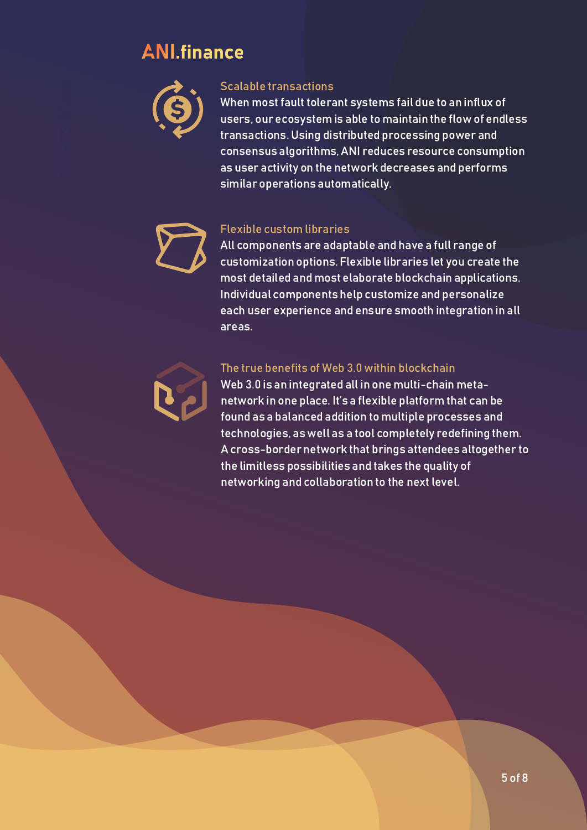

#### Scalable transactions

When most fault tolerant systems fail due to an influx of users, our ecosystem is able to maintain the flow of endless transactions. Using distributed processing power and consensus algorithms, ANI reduces resource consumption as user activity on the network decreases and performs similar operations automatically.

#### Flexible custom libraries

All components are adaptable and have a full range of customization options. Flexible libraries let you create the most detailed and most elaborate blockchain applications. Individual components help customize and personalize each user experience and ensure smooth integration in all areas.

#### The true benefits of Web 3.0 within blockchain

Web 3.0 is an integrated all in one multi-chain metanetwork in one place. It's a flexible platform that can be found as a balanced addition to multiple processes and technologies, as well as a tool completely redefining them. A cross-border network that brings attendees altogether to the limitless possibilities and takes the quality of networking and collaboration to the next level.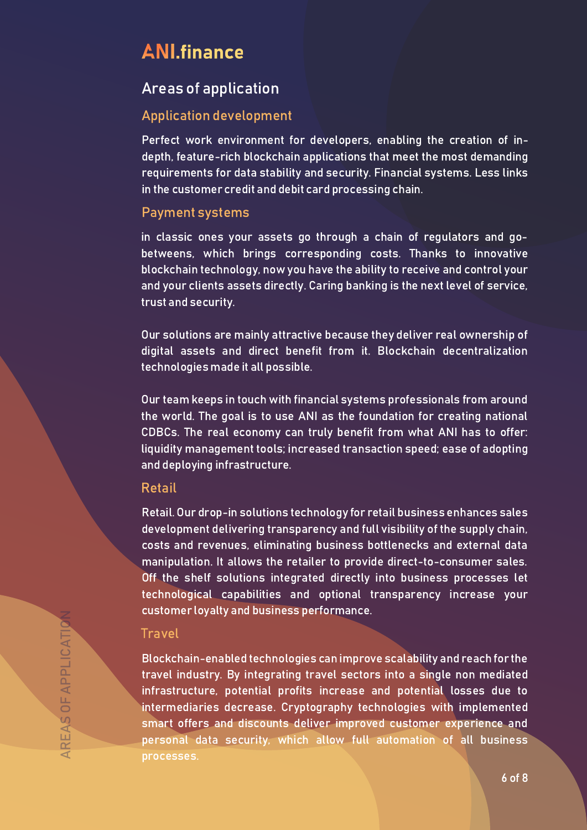#### Areas of application

#### Application development

Perfect work environment for developers, enabling the creation of indepth, feature-rich blockchain applications that meet the most demanding requirements for data stability and security. Financial systems. Less links in the customer credit and debit card processing chain.

#### Payment systems

in classic ones your assets go through a chain of regulators and gobetweens, which brings corresponding costs. Thanks to innovative blockchain technology, now you have the ability to receive and control your and your clients assets directly. Caring banking is the next level of service, trust and security.

Our solutions are mainly attractive because they deliver real ownership of digital assets and direct benefit from it. Blockchain decentralization technologies made it all possible.

Our team keeps in touch with financial systems professionals from around the world. The goal is to use ANI as the foundation for creating national CDBCs. The real economy can truly benefit from what ANI has to offer: liquidity management tools; increased transaction speed; ease of adopting and deploying infrastructure.

#### Retail

Retail. Our drop-in solutions technology for retail business enhances sales development delivering transparency and full visibility of the supply chain, costs and revenues, eliminating business bottlenecks and external data manipulation. It allows the retailer to provide direct-to-consumer sales. Off the shelf solutions integrated directly into business processes let technological capabilities and optional transparency increase your customer loyalty and business performance.

#### Travel

Blockchain-enabled technologies can improve scalability and reach for the travel industry. By integrating travel sectors into a single non mediated infrastructure, potential profits increase and potential losses due to intermediaries decrease. Cryptography technologies with implemented smart offers and discounts deliver improved customer experience and personal data security, which allow full automation of all business processes.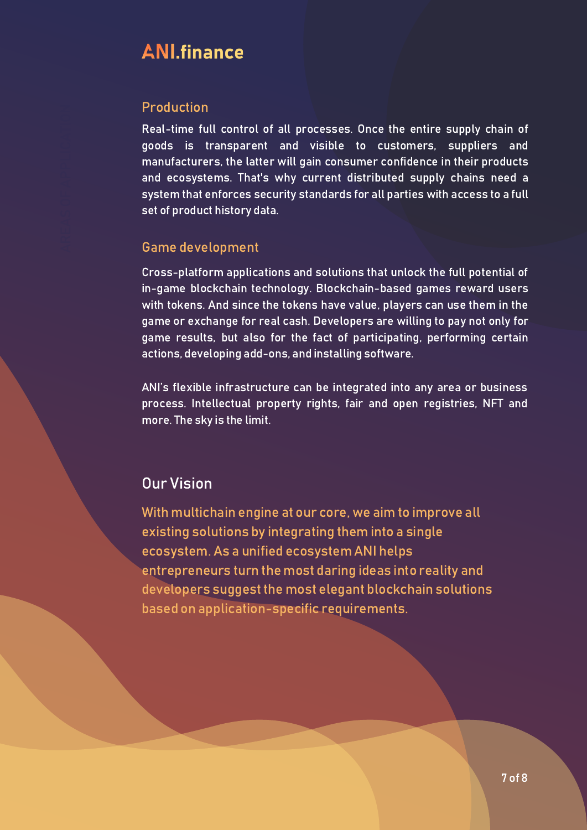#### Production

Real-time full control of all processes. Once the entire supply chain of goods is transparent and visible to customers, suppliers and manufacturers, the latter will gain consumer confidence in their products and ecosystems. That's why current distributed supply chains need a system that enforces security standards for all parties with access to a full set of product history data.

#### Game development

Cross-platform applications and solutions that unlock the full potential of in-game blockchain technology. Blockchain-based games reward users with tokens. And since the tokens have value, players can use them in the game or exchange for real cash. Developers are willing to pay not only for game results, but also for the fact of participating, performing certain actions, developing add-ons, and installing software.

ANI's flexible infrastructure can be integrated into any area or business process. Intellectual property rights, fair and open registries, NFT and more. The sky is the limit.

### Our Vision

With multichain engine at our core, we aim to improve all existing solutions by integrating them into a single ecosystem. As a unified ecosystem ANI helps entrepreneurs turn the most daring ideas into reality and developers suggest the most elegant blockchain solutions based on application-specific requirements.